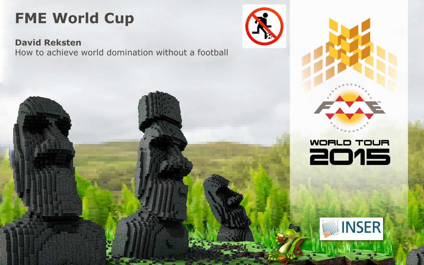#### **FME World Cup**

**David Reksten** How to achieve world domination without a football





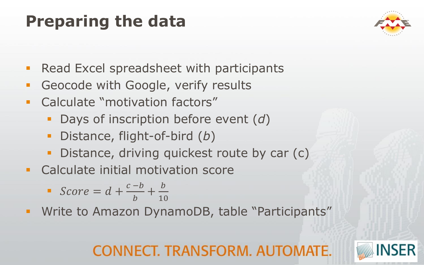## **Preparing the data**



- **Read Excel spreadsheet with participants**
- **Geocode with Google, verify results**
- **-** Calculate "motivation factors"
	- Days of inscription before event (*d*)
	- Distance, flight-of-bird (*b*)
	- Distance, driving quickest route by car (c)
- **EXEC** Calculate initial motivation score

$$
\bullet \quad Score = d + \frac{c - b}{b} + \frac{b}{10}
$$

**Write to Amazon DynamoDB, table "Participants"** 

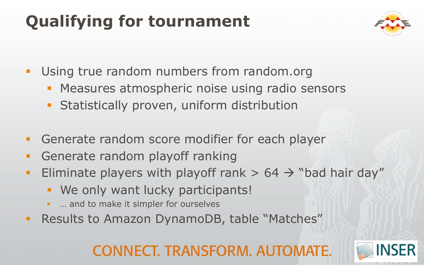# **Qualifying for tournament**



- **Using true random numbers from random.org** 
	- **Measures atmospheric noise using radio sensors**
	- **Statistically proven, uniform distribution**
- **Generate random score modifier for each player**
- **Generate random playoff ranking**
- Eliminate players with playoff rank  $> 64 \rightarrow$  "bad hair day"
	- **We only want lucky participants!**
	- … and to make it simpler for ourselves
- **Results to Amazon DynamoDB, table "Matches"**

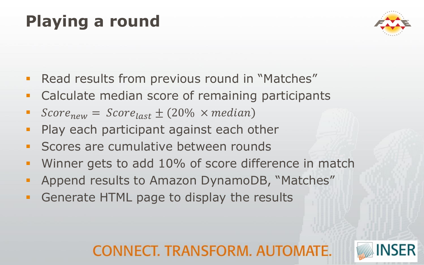# **Playing a round**



- **Read results from previous round in "Matches"**
- **Calculate median score of remaining participants**
- Score<sub>new</sub> =  $Score_{last} \pm (20\% \times median)$
- **Play each participant against each other**
- **Scores are cumulative between rounds**
- **Winner gets to add 10% of score difference in match**
- **Append results to Amazon DynamoDB, "Matches"**
- **Generate HTML page to display the results**